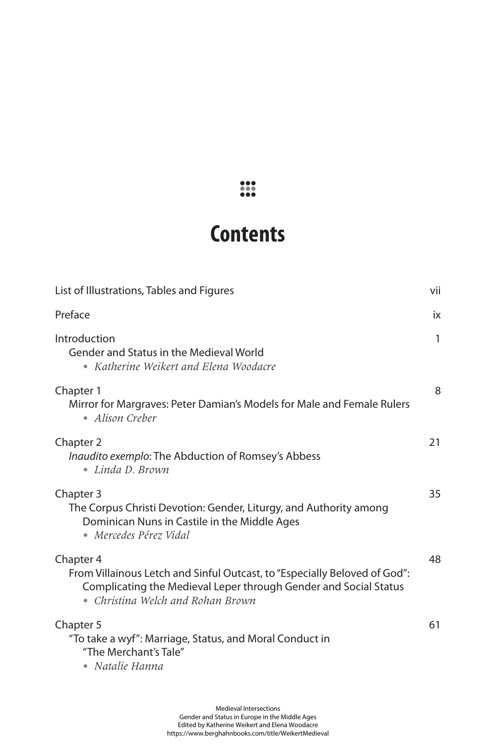## **Contents**

| List of Illustrations, Tables and Figures                                                                                                                                                       | vii          |
|-------------------------------------------------------------------------------------------------------------------------------------------------------------------------------------------------|--------------|
| Preface                                                                                                                                                                                         | iх           |
| Introduction<br>Gender and Status in the Medieval World<br>• Katherine Weikert and Elena Woodacre                                                                                               | $\mathbf{1}$ |
| Chapter 1<br>Mirror for Margraves: Peter Damian's Models for Male and Female Rulers<br>• Alison Creber                                                                                          | 8            |
| Chapter 2<br><i>Inaudito exemplo:</i> The Abduction of Romsey's Abbess<br>$\bullet$ Linda D. Brown                                                                                              | 21           |
| Chapter 3<br>The Corpus Christi Devotion: Gender, Liturgy, and Authority among<br>Dominican Nuns in Castile in the Middle Ages<br>• Mercedes Pérez Vidal                                        | 35           |
| Chapter 4<br>From Villainous Letch and Sinful Outcast, to "Especially Beloved of God":<br>Complicating the Medieval Leper through Gender and Social Status<br>• Christina Welch and Rohan Brown | 48           |
| Chapter 5<br>"To take a wyf": Marriage, Status, and Moral Conduct in<br>"The Merchant's Tale"<br>• Natalie Hanna                                                                                | 61           |